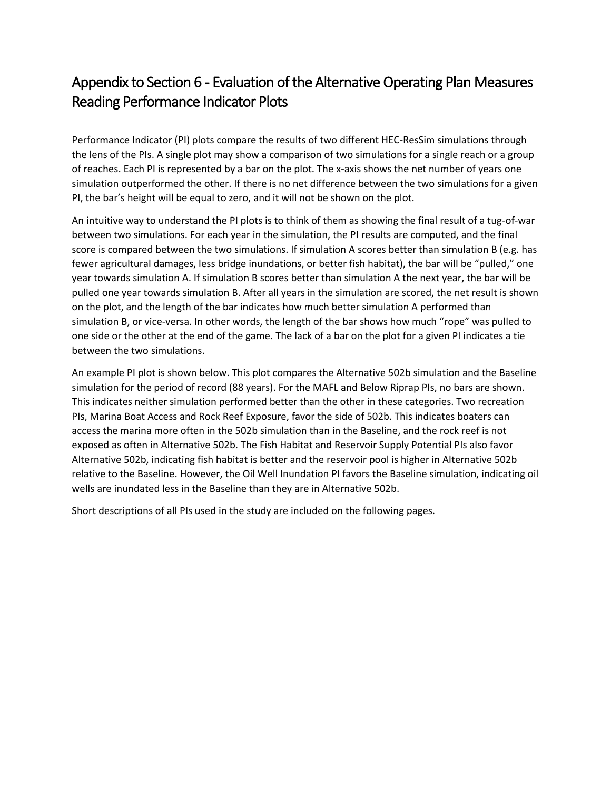### Appendix to Section 6 - Evaluation of the Alternative Operating Plan Measures Reading Performance Indicator Plots

Performance Indicator (PI) plots compare the results of two different HEC-ResSim simulations through the lens of the PIs. A single plot may show a comparison of two simulations for a single reach or a group of reaches. Each PI is represented by a bar on the plot. The x-axis shows the net number of years one simulation outperformed the other. If there is no net difference between the two simulations for a given PI, the bar's height will be equal to zero, and it will not be shown on the plot.

An intuitive way to understand the PI plots is to think of them as showing the final result of a tug-of-war between two simulations. For each year in the simulation, the PI results are computed, and the final score is compared between the two simulations. If simulation A scores better than simulation B (e.g. has fewer agricultural damages, less bridge inundations, or better fish habitat), the bar will be "pulled," one year towards simulation A. If simulation B scores better than simulation A the next year, the bar will be pulled one year towards simulation B. After all years in the simulation are scored, the net result is shown on the plot, and the length of the bar indicates how much better simulation A performed than simulation B, or vice-versa. In other words, the length of the bar shows how much "rope" was pulled to one side or the other at the end of the game. The lack of a bar on the plot for a given PI indicates a tie between the two simulations.

An example PI plot is shown below. This plot compares the Alternative 502b simulation and the Baseline simulation for the period of record (88 years). For the MAFL and Below Riprap PIs, no bars are shown. This indicates neither simulation performed better than the other in these categories. Two recreation PIs, Marina Boat Access and Rock Reef Exposure, favor the side of 502b. This indicates boaters can access the marina more often in the 502b simulation than in the Baseline, and the rock reef is not exposed as often in Alternative 502b. The Fish Habitat and Reservoir Supply Potential PIs also favor Alternative 502b, indicating fish habitat is better and the reservoir pool is higher in Alternative 502b relative to the Baseline. However, the Oil Well Inundation PI favors the Baseline simulation, indicating oil wells are inundated less in the Baseline than they are in Alternative 502b.

Short descriptions of all PIs used in the study are included on the following pages.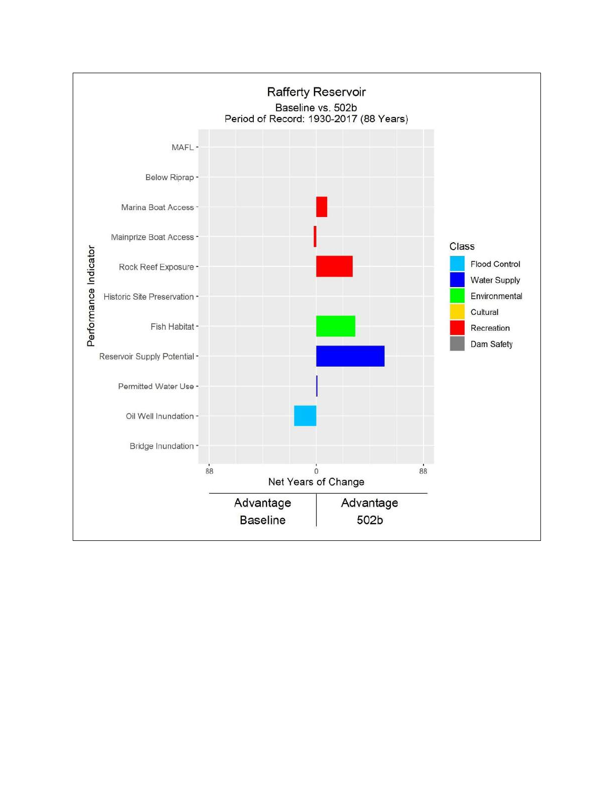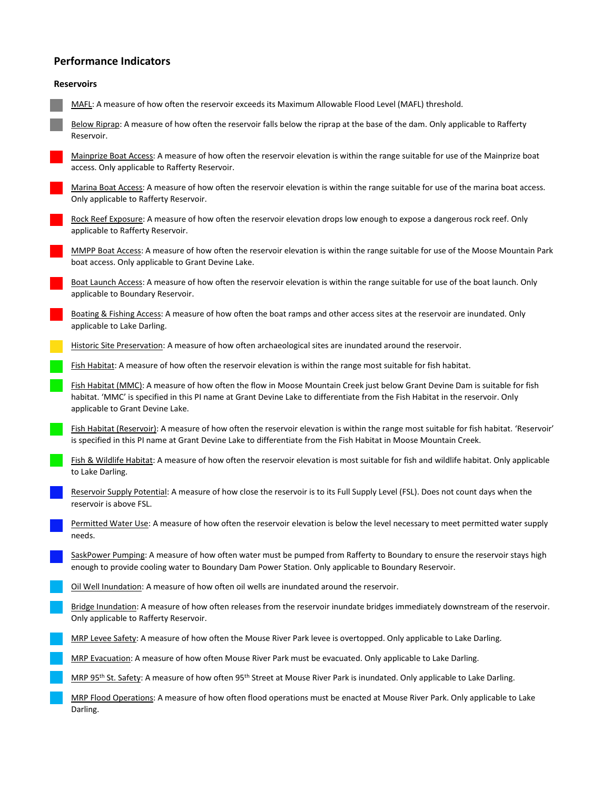#### **Performance Indicators**

#### **Reservoirs**

MAFL: A measure of how often the reservoir exceeds its Maximum Allowable Flood Level (MAFL) threshold.

Below Riprap: A measure of how often the reservoir falls below the riprap at the base of the dam. Only applicable to Rafferty Reservoir.

Mainprize Boat Access: A measure of how often the reservoir elevation is within the range suitable for use of the Mainprize boat access. Only applicable to Rafferty Reservoir.

Marina Boat Access: A measure of how often the reservoir elevation is within the range suitable for use of the marina boat access. Only applicable to Rafferty Reservoir.

Rock Reef Exposure: A measure of how often the reservoir elevation drops low enough to expose a dangerous rock reef. Only applicable to Rafferty Reservoir.

MMPP Boat Access: A measure of how often the reservoir elevation is within the range suitable for use of the Moose Mountain Park boat access. Only applicable to Grant Devine Lake.

Boat Launch Access: A measure of how often the reservoir elevation is within the range suitable for use of the boat launch. Only applicable to Boundary Reservoir.

Boating & Fishing Access: A measure of how often the boat ramps and other access sites at the reservoir are inundated. Only applicable to Lake Darling.

Historic Site Preservation: A measure of how often archaeological sites are inundated around the reservoir.

Fish Habitat: A measure of how often the reservoir elevation is within the range most suitable for fish habitat.

Fish Habitat (MMC): A measure of how often the flow in Moose Mountain Creek just below Grant Devine Dam is suitable for fish habitat. 'MMC' is specified in this PI name at Grant Devine Lake to differentiate from the Fish Habitat in the reservoir. Only applicable to Grant Devine Lake.

Fish Habitat (Reservoir): A measure of how often the reservoir elevation is within the range most suitable for fish habitat. 'Reservoir' is specified in this PI name at Grant Devine Lake to differentiate from the Fish Habitat in Moose Mountain Creek.

Fish & Wildlife Habitat: A measure of how often the reservoir elevation is most suitable for fish and wildlife habitat. Only applicable to Lake Darling.

Reservoir Supply Potential: A measure of how close the reservoir is to its Full Supply Level (FSL). Does not count days when the reservoir is above FSL.

Permitted Water Use: A measure of how often the reservoir elevation is below the level necessary to meet permitted water supply needs.

SaskPower Pumping: A measure of how often water must be pumped from Rafferty to Boundary to ensure the reservoir stays high enough to provide cooling water to Boundary Dam Power Station. Only applicable to Boundary Reservoir.

Oil Well Inundation: A measure of how often oil wells are inundated around the reservoir.

Bridge Inundation: A measure of how often releases from the reservoir inundate bridges immediately downstream of the reservoir. Only applicable to Rafferty Reservoir.

MRP Levee Safety: A measure of how often the Mouse River Park levee is overtopped. Only applicable to Lake Darling.

MRP Evacuation: A measure of how often Mouse River Park must be evacuated. Only applicable to Lake Darling.

MRP 95<sup>th</sup> St. Safety: A measure of how often 95<sup>th</sup> Street at Mouse River Park is inundated. Only applicable to Lake Darling.

MRP Flood Operations: A measure of how often flood operations must be enacted at Mouse River Park. Only applicable to Lake Darling.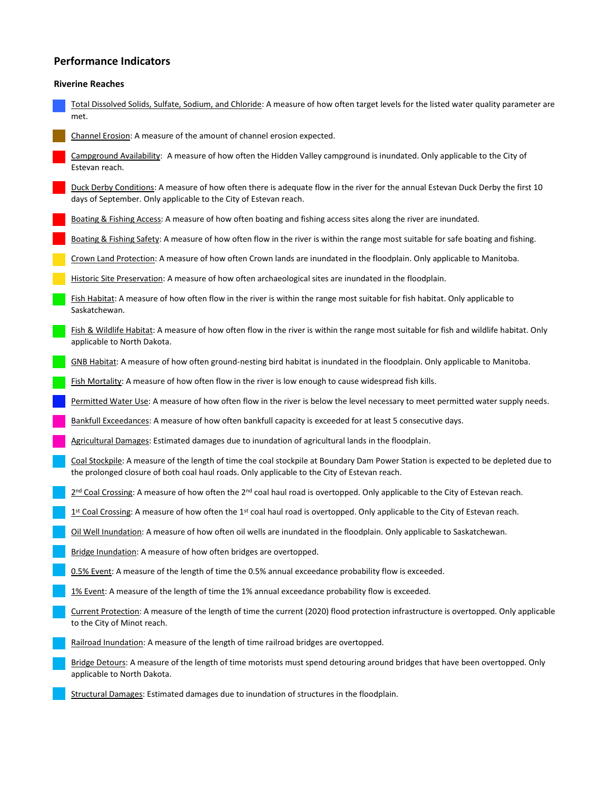#### **Performance Indicators**

#### **Riverine Reaches**

Total Dissolved Solids, Sulfate, Sodium, and Chloride: A measure of how often target levels for the listed water quality parameter are met. Channel Erosion: A measure of the amount of channel erosion expected.

Campground Availability: A measure of how often the Hidden Valley campground is inundated. Only applicable to the City of Estevan reach.

Duck Derby Conditions: A measure of how often there is adequate flow in the river for the annual Estevan Duck Derby the first 10 days of September. Only applicable to the City of Estevan reach.

Boating & Fishing Access: A measure of how often boating and fishing access sites along the river are inundated.

Boating & Fishing Safety: A measure of how often flow in the river is within the range most suitable for safe boating and fishing.

Crown Land Protection: A measure of how often Crown lands are inundated in the floodplain. Only applicable to Manitoba.

Historic Site Preservation: A measure of how often archaeological sites are inundated in the floodplain.

Fish Habitat: A measure of how often flow in the river is within the range most suitable for fish habitat. Only applicable to Saskatchewan.

Fish & Wildlife Habitat: A measure of how often flow in the river is within the range most suitable for fish and wildlife habitat. Only applicable to North Dakota.

GNB Habitat: A measure of how often ground-nesting bird habitat is inundated in the floodplain. Only applicable to Manitoba.

Fish Mortality: A measure of how often flow in the river is low enough to cause widespread fish kills.

Permitted Water Use: A measure of how often flow in the river is below the level necessary to meet permitted water supply needs.

Bankfull Exceedances: A measure of how often bankfull capacity is exceeded for at least 5 consecutive days.

Agricultural Damages: Estimated damages due to inundation of agricultural lands in the floodplain.

Coal Stockpile: A measure of the length of time the coal stockpile at Boundary Dam Power Station is expected to be depleted due to the prolonged closure of both coal haul roads. Only applicable to the City of Estevan reach.

2<sup>nd</sup> Coal Crossing: A measure of how often the 2<sup>nd</sup> coal haul road is overtopped. Only applicable to the City of Estevan reach.

1<sup>st</sup> Coal Crossing: A measure of how often the 1<sup>st</sup> coal haul road is overtopped. Only applicable to the City of Estevan reach.

Oil Well Inundation: A measure of how often oil wells are inundated in the floodplain. Only applicable to Saskatchewan.

Bridge Inundation: A measure of how often bridges are overtopped.

0.5% Event: A measure of the length of time the 0.5% annual exceedance probability flow is exceeded.

1% Event: A measure of the length of time the 1% annual exceedance probability flow is exceeded.

Current Protection: A measure of the length of time the current (2020) flood protection infrastructure is overtopped. Only applicable to the City of Minot reach.

Railroad Inundation: A measure of the length of time railroad bridges are overtopped.

Bridge Detours: A measure of the length of time motorists must spend detouring around bridges that have been overtopped. Only applicable to North Dakota.

Structural Damages: Estimated damages due to inundation of structures in the floodplain.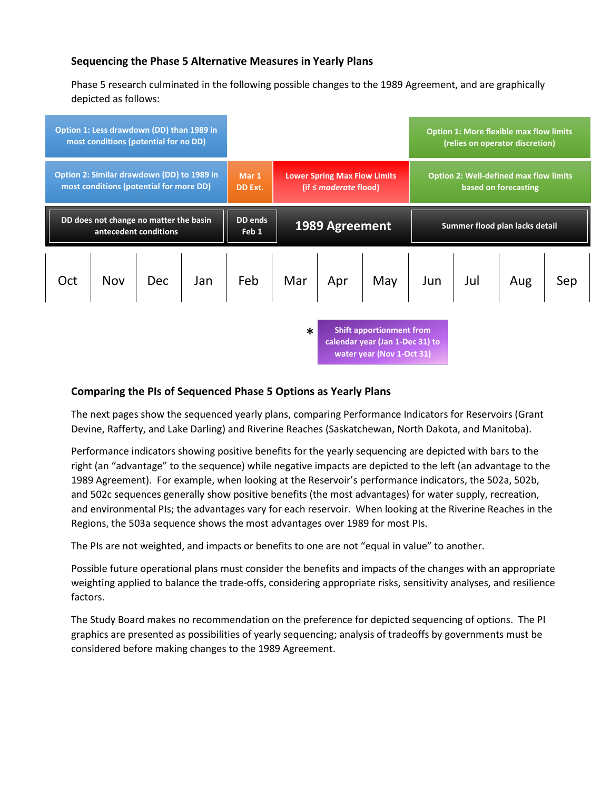#### **Sequencing the Phase 5 Alternative Measures in Yearly Plans**

Phase 5 research culminated in the following possible changes to the 1989 Agreement, and are graphically depicted as follows:



#### **Comparing the PIs of Sequenced Phase 5 Options as Yearly Plans**

The next pages show the sequenced yearly plans, comparing Performance Indicators for Reservoirs (Grant Devine, Rafferty, and Lake Darling) and Riverine Reaches (Saskatchewan, North Dakota, and Manitoba).

Performance indicators showing positive benefits for the yearly sequencing are depicted with bars to the right (an "advantage" to the sequence) while negative impacts are depicted to the left (an advantage to the 1989 Agreement). For example, when looking at the Reservoir's performance indicators, the 502a, 502b, and 502c sequences generally show positive benefits (the most advantages) for water supply, recreation, and environmental PIs; the advantages vary for each reservoir. When looking at the Riverine Reaches in the Regions, the 503a sequence shows the most advantages over 1989 for most PIs.

The PIs are not weighted, and impacts or benefits to one are not "equal in value" to another.

Possible future operational plans must consider the benefits and impacts of the changes with an appropriate weighting applied to balance the trade-offs, considering appropriate risks, sensitivity analyses, and resilience factors.

The Study Board makes no recommendation on the preference for depicted sequencing of options. The PI graphics are presented as possibilities of yearly sequencing; analysis of tradeoffs by governments must be considered before making changes to the 1989 Agreement.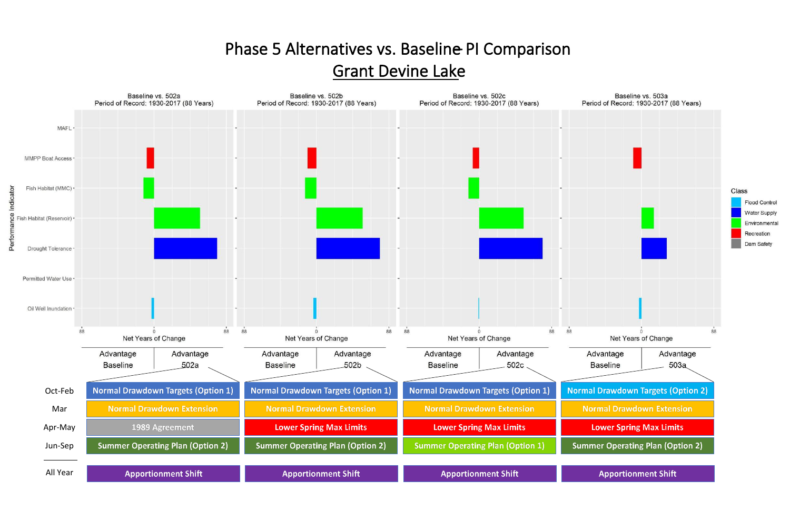### Phase 5 Alternatives vs. Baseline PI Comparison Grant Devine Lake

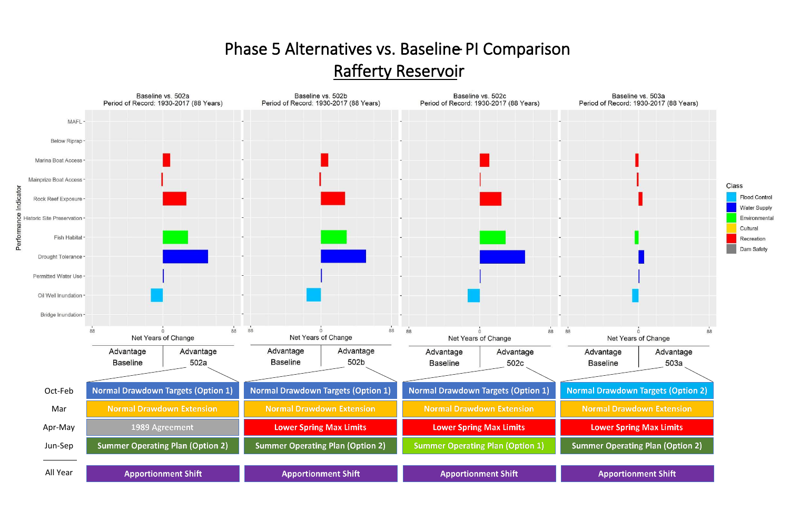### Phase 5 Alternatives vs. Baseline PI Comparison Rafferty Reservoir

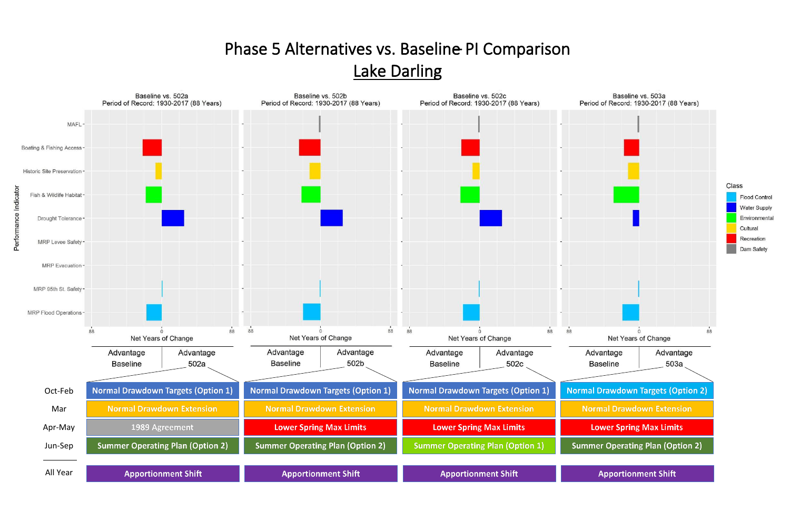# Phase 5 Alternatives vs. Baseline PI Comparison

Lake Darling

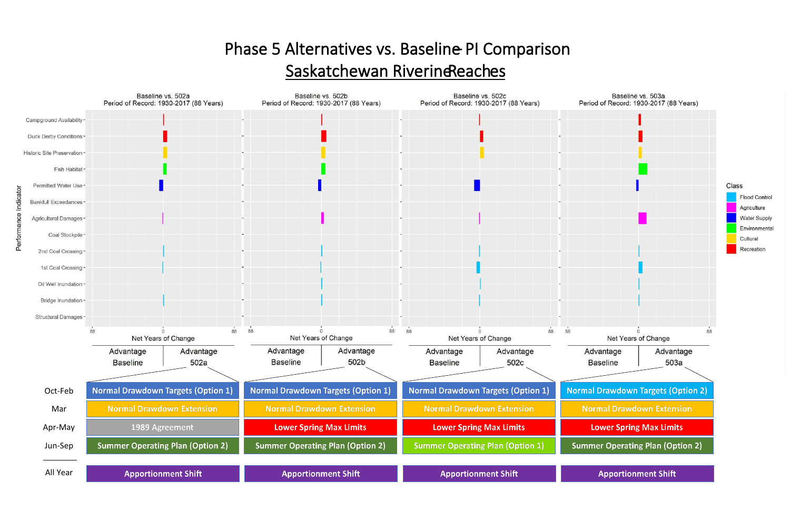## Phase 5 Alternatives vs. Baseline PI Comparison Saskatchewan Riverine Reaches

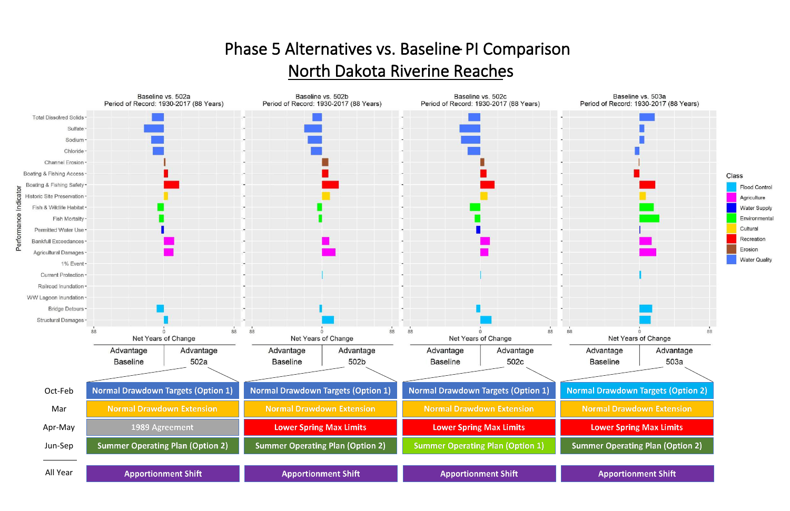# Phase 5 Alternatives vs. Baseline PI Comparison North Dakota Riverine Reaches